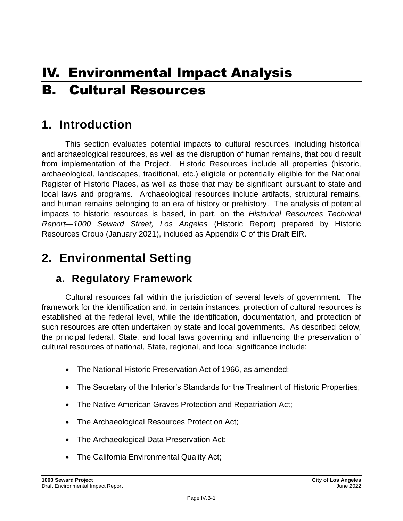# IV. Environmental Impact Analysis B. Cultural Resources

## **1. Introduction**

This section evaluates potential impacts to cultural resources, including historical and archaeological resources, as well as the disruption of human remains, that could result from implementation of the Project. Historic Resources include all properties (historic, archaeological, landscapes, traditional, etc.) eligible or potentially eligible for the National Register of Historic Places, as well as those that may be significant pursuant to state and local laws and programs. Archaeological resources include artifacts, structural remains, and human remains belonging to an era of history or prehistory. The analysis of potential impacts to historic resources is based, in part, on the *Historical Resources Technical Report—1000 Seward Street, Los Angeles* (Historic Report) prepared by Historic Resources Group (January 2021), included as Appendix C of this Draft EIR.

## **2. Environmental Setting**

### **a. Regulatory Framework**

Cultural resources fall within the jurisdiction of several levels of government. The framework for the identification and, in certain instances, protection of cultural resources is established at the federal level, while the identification, documentation, and protection of such resources are often undertaken by state and local governments. As described below, the principal federal, State, and local laws governing and influencing the preservation of cultural resources of national, State, regional, and local significance include:

- The National Historic Preservation Act of 1966, as amended;
- The Secretary of the Interior's Standards for the Treatment of Historic Properties;
- The Native American Graves Protection and Repatriation Act;
- The Archaeological Resources Protection Act;
- The Archaeological Data Preservation Act;
- The California Environmental Quality Act;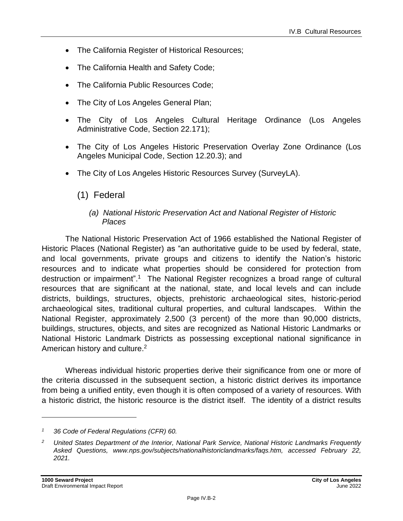- The California Register of Historical Resources;
- The California Health and Safety Code;
- The California Public Resources Code;
- The City of Los Angeles General Plan;
- The City of Los Angeles Cultural Heritage Ordinance (Los Angeles Administrative Code, Section 22.171);
- The City of Los Angeles Historic Preservation Overlay Zone Ordinance (Los Angeles Municipal Code, Section 12.20.3); and
- The City of Los Angeles Historic Resources Survey (SurveyLA).

### (1) Federal

#### *(a) National Historic Preservation Act and National Register of Historic Places*

The National Historic Preservation Act of 1966 established the National Register of Historic Places (National Register) as "an authoritative guide to be used by federal, state, and local governments, private groups and citizens to identify the Nation's historic resources and to indicate what properties should be considered for protection from destruction or impairment".<sup>1</sup> The National Register recognizes a broad range of cultural resources that are significant at the national, state, and local levels and can include districts, buildings, structures, objects, prehistoric archaeological sites, historic-period archaeological sites, traditional cultural properties, and cultural landscapes. Within the National Register, approximately 2,500 (3 percent) of the more than 90,000 districts, buildings, structures, objects, and sites are recognized as National Historic Landmarks or National Historic Landmark Districts as possessing exceptional national significance in American history and culture.<sup>2</sup>

Whereas individual historic properties derive their significance from one or more of the criteria discussed in the subsequent section, a historic district derives its importance from being a unified entity, even though it is often composed of a variety of resources. With a historic district, the historic resource is the district itself. The identity of a district results

*<sup>1</sup> 36 Code of Federal Regulations (CFR) 60.*

*<sup>2</sup> United States Department of the Interior, National Park Service, National Historic Landmarks Frequently Asked Questions, www.nps.gov/subjects/nationalhistoriclandmarks/faqs.htm, accessed February 22, 2021.*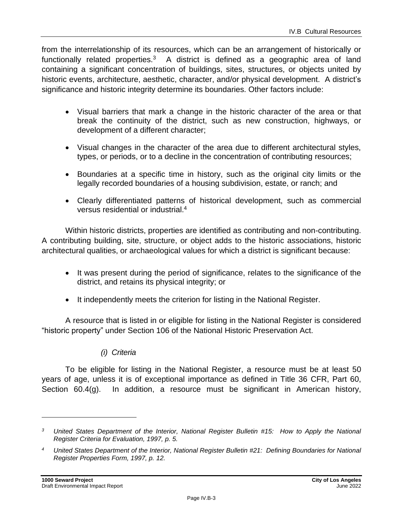from the interrelationship of its resources, which can be an arrangement of historically or functionally related properties. $3 \times 4$  district is defined as a geographic area of land containing a significant concentration of buildings, sites, structures, or objects united by historic events, architecture, aesthetic, character, and/or physical development. A district's significance and historic integrity determine its boundaries. Other factors include:

- Visual barriers that mark a change in the historic character of the area or that break the continuity of the district, such as new construction, highways, or development of a different character;
- Visual changes in the character of the area due to different architectural styles, types, or periods, or to a decline in the concentration of contributing resources;
- Boundaries at a specific time in history, such as the original city limits or the legally recorded boundaries of a housing subdivision, estate, or ranch; and
- Clearly differentiated patterns of historical development, such as commercial versus residential or industrial.<sup>4</sup>

Within historic districts, properties are identified as contributing and non-contributing. A contributing building, site, structure, or object adds to the historic associations, historic architectural qualities, or archaeological values for which a district is significant because:

- It was present during the period of significance, relates to the significance of the district, and retains its physical integrity; or
- It independently meets the criterion for listing in the National Register.

A resource that is listed in or eligible for listing in the National Register is considered "historic property" under Section 106 of the National Historic Preservation Act.

#### *(i) Criteria*

To be eligible for listing in the National Register, a resource must be at least 50 years of age, unless it is of exceptional importance as defined in Title 36 CFR, Part 60, Section 60.4(g). In addition, a resource must be significant in American history,

*<sup>3</sup> United States Department of the Interior, National Register Bulletin #15: How to Apply the National Register Criteria for Evaluation, 1997, p. 5.*

*<sup>4</sup> United States Department of the Interior, National Register Bulletin #21: Defining Boundaries for National Register Properties Form, 1997, p. 12.*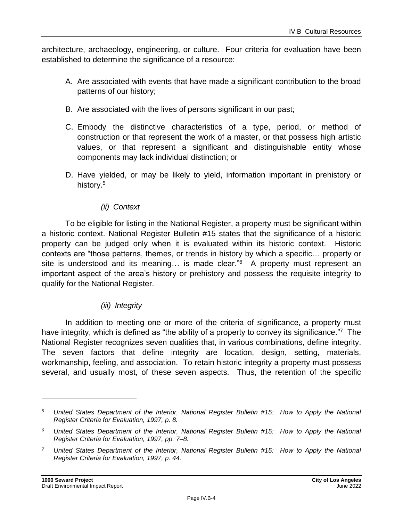architecture, archaeology, engineering, or culture. Four criteria for evaluation have been established to determine the significance of a resource:

- A. Are associated with events that have made a significant contribution to the broad patterns of our history;
- B. Are associated with the lives of persons significant in our past;
- C. Embody the distinctive characteristics of a type, period, or method of construction or that represent the work of a master, or that possess high artistic values, or that represent a significant and distinguishable entity whose components may lack individual distinction; or
- D. Have yielded, or may be likely to yield, information important in prehistory or history.<sup>5</sup>

#### *(ii) Context*

To be eligible for listing in the National Register, a property must be significant within a historic context. National Register Bulletin #15 states that the significance of a historic property can be judged only when it is evaluated within its historic context. Historic contexts are "those patterns, themes, or trends in history by which a specific… property or site is understood and its meaning... is made clear." $6$  A property must represent an important aspect of the area's history or prehistory and possess the requisite integrity to qualify for the National Register.

#### *(iii) Integrity*

In addition to meeting one or more of the criteria of significance, a property must have integrity, which is defined as "the ability of a property to convey its significance."<sup>7</sup> The National Register recognizes seven qualities that, in various combinations, define integrity. The seven factors that define integrity are location, design, setting, materials, workmanship, feeling, and association. To retain historic integrity a property must possess several, and usually most, of these seven aspects. Thus, the retention of the specific

*<sup>5</sup> United States Department of the Interior, National Register Bulletin #15: How to Apply the National Register Criteria for Evaluation, 1997, p. 8.*

*<sup>6</sup> United States Department of the Interior, National Register Bulletin #15: How to Apply the National Register Criteria for Evaluation, 1997, pp. 7–8.*

*<sup>7</sup> United States Department of the Interior, National Register Bulletin #15: How to Apply the National Register Criteria for Evaluation, 1997, p. 44.*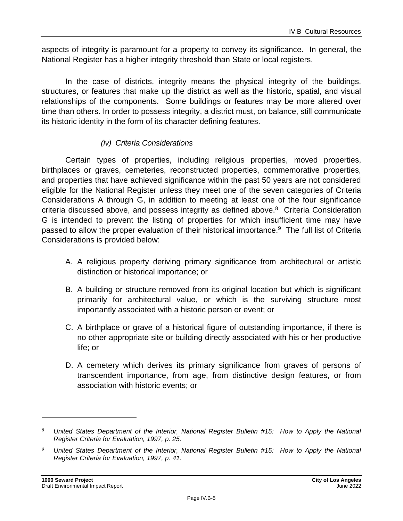aspects of integrity is paramount for a property to convey its significance. In general, the National Register has a higher integrity threshold than State or local registers.

In the case of districts, integrity means the physical integrity of the buildings, structures, or features that make up the district as well as the historic, spatial, and visual relationships of the components. Some buildings or features may be more altered over time than others. In order to possess integrity, a district must, on balance, still communicate its historic identity in the form of its character defining features.

#### *(iv) Criteria Considerations*

Certain types of properties, including religious properties, moved properties, birthplaces or graves, cemeteries, reconstructed properties, commemorative properties, and properties that have achieved significance within the past 50 years are not considered eligible for the National Register unless they meet one of the seven categories of Criteria Considerations A through G, in addition to meeting at least one of the four significance criteria discussed above, and possess integrity as defined above.<sup>8</sup> Criteria Consideration G is intended to prevent the listing of properties for which insufficient time may have passed to allow the proper evaluation of their historical importance.<sup>9</sup> The full list of Criteria Considerations is provided below:

- A. A religious property deriving primary significance from architectural or artistic distinction or historical importance; or
- B. A building or structure removed from its original location but which is significant primarily for architectural value, or which is the surviving structure most importantly associated with a historic person or event; or
- C. A birthplace or grave of a historical figure of outstanding importance, if there is no other appropriate site or building directly associated with his or her productive life; or
- D. A cemetery which derives its primary significance from graves of persons of transcendent importance, from age, from distinctive design features, or from association with historic events; or

*<sup>8</sup> United States Department of the Interior, National Register Bulletin #15: How to Apply the National Register Criteria for Evaluation, 1997, p. 25.*

*<sup>9</sup> United States Department of the Interior, National Register Bulletin #15: How to Apply the National Register Criteria for Evaluation, 1997, p. 41.*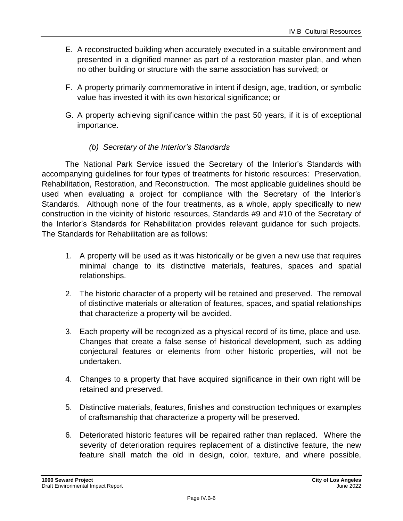- E. A reconstructed building when accurately executed in a suitable environment and presented in a dignified manner as part of a restoration master plan, and when no other building or structure with the same association has survived; or
- F. A property primarily commemorative in intent if design, age, tradition, or symbolic value has invested it with its own historical significance; or
- G. A property achieving significance within the past 50 years, if it is of exceptional importance.

#### *(b) Secretary of the Interior's Standards*

The National Park Service issued the Secretary of the Interior's Standards with accompanying guidelines for four types of treatments for historic resources: Preservation, Rehabilitation, Restoration, and Reconstruction. The most applicable guidelines should be used when evaluating a project for compliance with the Secretary of the Interior's Standards. Although none of the four treatments, as a whole, apply specifically to new construction in the vicinity of historic resources, Standards #9 and #10 of the Secretary of the Interior's Standards for Rehabilitation provides relevant guidance for such projects. The Standards for Rehabilitation are as follows:

- 1. A property will be used as it was historically or be given a new use that requires minimal change to its distinctive materials, features, spaces and spatial relationships.
- 2. The historic character of a property will be retained and preserved. The removal of distinctive materials or alteration of features, spaces, and spatial relationships that characterize a property will be avoided.
- 3. Each property will be recognized as a physical record of its time, place and use. Changes that create a false sense of historical development, such as adding conjectural features or elements from other historic properties, will not be undertaken.
- 4. Changes to a property that have acquired significance in their own right will be retained and preserved.
- 5. Distinctive materials, features, finishes and construction techniques or examples of craftsmanship that characterize a property will be preserved.
- 6. Deteriorated historic features will be repaired rather than replaced. Where the severity of deterioration requires replacement of a distinctive feature, the new feature shall match the old in design, color, texture, and where possible,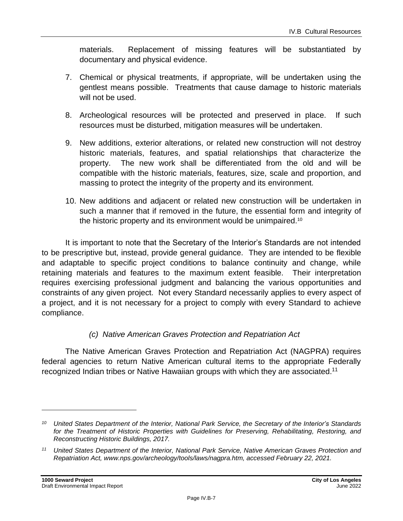materials. Replacement of missing features will be substantiated by documentary and physical evidence.

- 7. Chemical or physical treatments, if appropriate, will be undertaken using the gentlest means possible. Treatments that cause damage to historic materials will not be used.
- 8. Archeological resources will be protected and preserved in place. If such resources must be disturbed, mitigation measures will be undertaken.
- 9. New additions, exterior alterations, or related new construction will not destroy historic materials, features, and spatial relationships that characterize the property. The new work shall be differentiated from the old and will be compatible with the historic materials, features, size, scale and proportion, and massing to protect the integrity of the property and its environment.
- 10. New additions and adjacent or related new construction will be undertaken in such a manner that if removed in the future, the essential form and integrity of the historic property and its environment would be unimpaired.<sup>10</sup>

It is important to note that the Secretary of the Interior's Standards are not intended to be prescriptive but, instead, provide general guidance. They are intended to be flexible and adaptable to specific project conditions to balance continuity and change, while retaining materials and features to the maximum extent feasible. Their interpretation requires exercising professional judgment and balancing the various opportunities and constraints of any given project. Not every Standard necessarily applies to every aspect of a project, and it is not necessary for a project to comply with every Standard to achieve compliance.

#### *(c) Native American Graves Protection and Repatriation Act*

The Native American Graves Protection and Repatriation Act (NAGPRA) requires federal agencies to return Native American cultural items to the appropriate Federally recognized Indian tribes or Native Hawaiian groups with which they are associated.<sup>11</sup>

*<sup>10</sup> United States Department of the Interior, National Park Service, the Secretary of the Interior's Standards for the Treatment of Historic Properties with Guidelines for Preserving, Rehabilitating, Restoring, and Reconstructing Historic Buildings, 2017.*

*<sup>11</sup> United States Department of the Interior, National Park Service, Native American Graves Protection and Repatriation Act, www.nps.gov/archeology/tools/laws/nagpra.htm, accessed February 22, 2021.*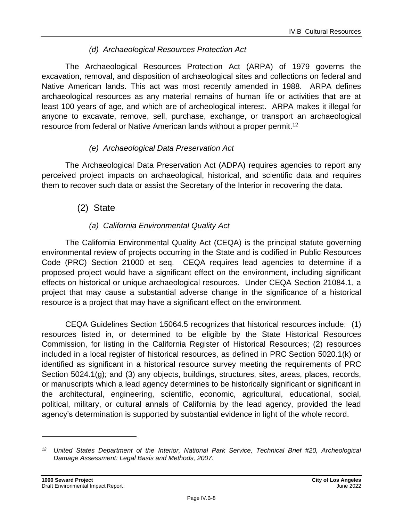#### *(d) Archaeological Resources Protection Act*

The Archaeological Resources Protection Act (ARPA) of 1979 governs the excavation, removal, and disposition of archaeological sites and collections on federal and Native American lands. This act was most recently amended in 1988. ARPA defines archaeological resources as any material remains of human life or activities that are at least 100 years of age, and which are of archeological interest. ARPA makes it illegal for anyone to excavate, remove, sell, purchase, exchange, or transport an archaeological resource from federal or Native American lands without a proper permit.<sup>12</sup>

#### *(e) Archaeological Data Preservation Act*

The Archaeological Data Preservation Act (ADPA) requires agencies to report any perceived project impacts on archaeological, historical, and scientific data and requires them to recover such data or assist the Secretary of the Interior in recovering the data.

#### (2) State

#### *(a) California Environmental Quality Act*

The California Environmental Quality Act (CEQA) is the principal statute governing environmental review of projects occurring in the State and is codified in Public Resources Code (PRC) Section 21000 et seq. CEQA requires lead agencies to determine if a proposed project would have a significant effect on the environment, including significant effects on historical or unique archaeological resources. Under CEQA Section 21084.1, a project that may cause a substantial adverse change in the significance of a historical resource is a project that may have a significant effect on the environment.

CEQA Guidelines Section 15064.5 recognizes that historical resources include: (1) resources listed in, or determined to be eligible by the State Historical Resources Commission, for listing in the California Register of Historical Resources; (2) resources included in a local register of historical resources, as defined in PRC Section 5020.1(k) or identified as significant in a historical resource survey meeting the requirements of PRC Section 5024.1(g); and (3) any objects, buildings, structures, sites, areas, places, records, or manuscripts which a lead agency determines to be historically significant or significant in the architectural, engineering, scientific, economic, agricultural, educational, social, political, military, or cultural annals of California by the lead agency, provided the lead agency's determination is supported by substantial evidence in light of the whole record.

*<sup>12</sup> United States Department of the Interior, National Park Service, Technical Brief #20, Archeological Damage Assessment: Legal Basis and Methods, 2007.*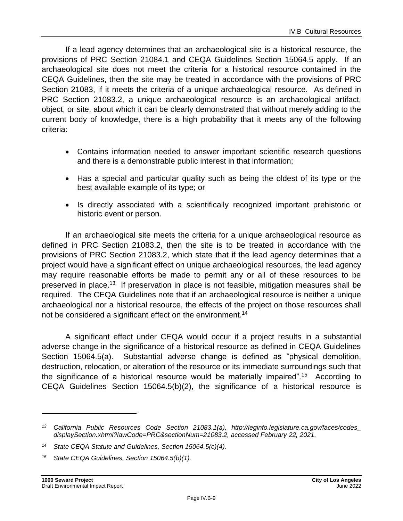If a lead agency determines that an archaeological site is a historical resource, the provisions of PRC Section 21084.1 and CEQA Guidelines Section 15064.5 apply. If an archaeological site does not meet the criteria for a historical resource contained in the CEQA Guidelines, then the site may be treated in accordance with the provisions of PRC Section 21083, if it meets the criteria of a unique archaeological resource. As defined in PRC Section 21083.2, a unique archaeological resource is an archaeological artifact, object, or site, about which it can be clearly demonstrated that without merely adding to the current body of knowledge, there is a high probability that it meets any of the following criteria:

- Contains information needed to answer important scientific research questions and there is a demonstrable public interest in that information;
- Has a special and particular quality such as being the oldest of its type or the best available example of its type; or
- Is directly associated with a scientifically recognized important prehistoric or historic event or person.

If an archaeological site meets the criteria for a unique archaeological resource as defined in PRC Section 21083.2, then the site is to be treated in accordance with the provisions of PRC Section 21083.2, which state that if the lead agency determines that a project would have a significant effect on unique archaeological resources, the lead agency may require reasonable efforts be made to permit any or all of these resources to be preserved in place.<sup>13</sup> If preservation in place is not feasible, mitigation measures shall be required. The CEQA Guidelines note that if an archaeological resource is neither a unique archaeological nor a historical resource, the effects of the project on those resources shall not be considered a significant effect on the environment.<sup>14</sup>

A significant effect under CEQA would occur if a project results in a substantial adverse change in the significance of a historical resource as defined in CEQA Guidelines Section 15064.5(a). Substantial adverse change is defined as "physical demolition, destruction, relocation, or alteration of the resource or its immediate surroundings such that the significance of a historical resource would be materially impaired".<sup>15</sup> According to CEQA Guidelines Section 15064.5(b)(2), the significance of a historical resource is

*<sup>13</sup> California Public Resources Code Section 21083.1(a), http://leginfo.legislature.ca.gov/faces/codes\_ displaySection.xhtml?lawCode=PRC&sectionNum=21083.2, accessed February 22, 2021.*

*<sup>14</sup> State CEQA Statute and Guidelines, Section 15064.5(c)(4).*

*<sup>15</sup> State CEQA Guidelines, Section 15064.5(b)(1).*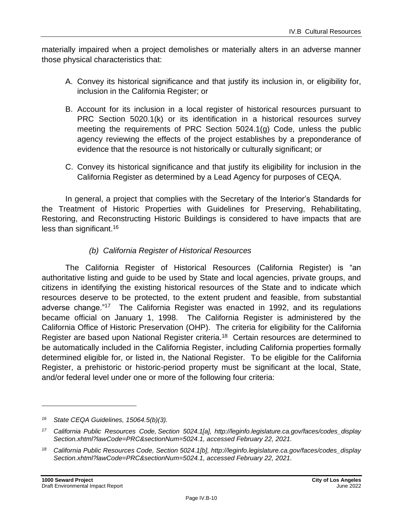materially impaired when a project demolishes or materially alters in an adverse manner those physical characteristics that:

- A. Convey its historical significance and that justify its inclusion in, or eligibility for, inclusion in the California Register; or
- B. Account for its inclusion in a local register of historical resources pursuant to PRC Section 5020.1(k) or its identification in a historical resources survey meeting the requirements of PRC Section 5024.1(g) Code, unless the public agency reviewing the effects of the project establishes by a preponderance of evidence that the resource is not historically or culturally significant; or
- C. Convey its historical significance and that justify its eligibility for inclusion in the California Register as determined by a Lead Agency for purposes of CEQA.

In general, a project that complies with the Secretary of the Interior's Standards for the Treatment of Historic Properties with Guidelines for Preserving, Rehabilitating, Restoring, and Reconstructing Historic Buildings is considered to have impacts that are less than significant.<sup>16</sup>

#### *(b) California Register of Historical Resources*

The California Register of Historical Resources (California Register) is "an authoritative listing and guide to be used by State and local agencies, private groups, and citizens in identifying the existing historical resources of the State and to indicate which resources deserve to be protected, to the extent prudent and feasible, from substantial adverse change."<sup>17</sup> The California Register was enacted in 1992, and its regulations became official on January 1, 1998. The California Register is administered by the California Office of Historic Preservation (OHP). The criteria for eligibility for the California Register are based upon National Register criteria.<sup>18</sup> Certain resources are determined to be automatically included in the California Register, including California properties formally determined eligible for, or listed in, the National Register. To be eligible for the California Register, a prehistoric or historic-period property must be significant at the local, State, and/or federal level under one or more of the following four criteria:

*<sup>16</sup> State CEQA Guidelines, 15064.5(b)(3).*

*<sup>17</sup> California Public Resources Code, Section 5024.1[a], http://leginfo.legislature.ca.gov/faces/codes\_display Section.xhtml?lawCode=PRC&sectionNum=5024.1, accessed February 22, 2021.*

*<sup>18</sup> California Public Resources Code, Section 5024.1[b], http://leginfo.legislature.ca.gov/faces/codes\_display Section.xhtml?lawCode=PRC&sectionNum=5024.1, accessed February 22, 2021.*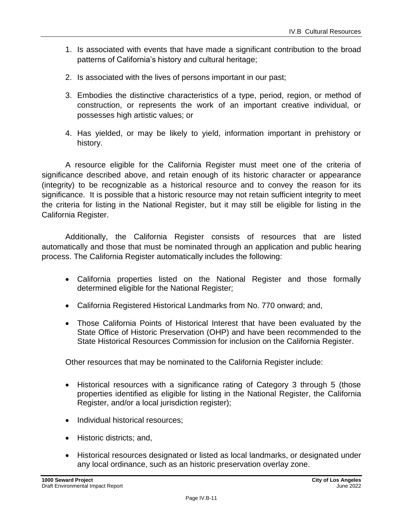- 1. Is associated with events that have made a significant contribution to the broad patterns of California's history and cultural heritage;
- 2. Is associated with the lives of persons important in our past;
- 3. Embodies the distinctive characteristics of a type, period, region, or method of construction, or represents the work of an important creative individual, or possesses high artistic values; or
- 4. Has yielded, or may be likely to yield, information important in prehistory or history.

A resource eligible for the California Register must meet one of the criteria of significance described above, and retain enough of its historic character or appearance (integrity) to be recognizable as a historical resource and to convey the reason for its significance. It is possible that a historic resource may not retain sufficient integrity to meet the criteria for listing in the National Register, but it may still be eligible for listing in the California Register.

Additionally, the California Register consists of resources that are listed automatically and those that must be nominated through an application and public hearing process. The California Register automatically includes the following:

- California properties listed on the National Register and those formally determined eligible for the National Register;
- California Registered Historical Landmarks from No. 770 onward; and,
- Those California Points of Historical Interest that have been evaluated by the State Office of Historic Preservation (OHP) and have been recommended to the State Historical Resources Commission for inclusion on the California Register.

Other resources that may be nominated to the California Register include:

- Historical resources with a significance rating of Category 3 through 5 (those properties identified as eligible for listing in the National Register, the California Register, and/or a local jurisdiction register);
- Individual historical resources;
- Historic districts; and,
- Historical resources designated or listed as local landmarks, or designated under any local ordinance, such as an historic preservation overlay zone.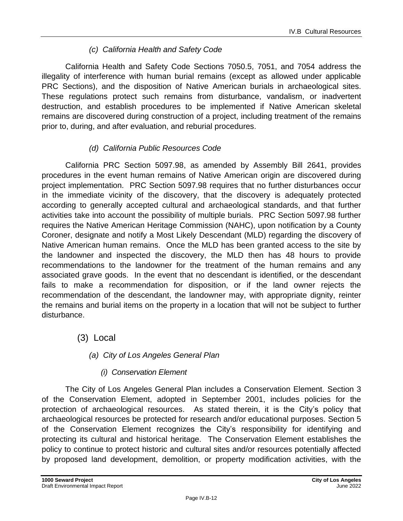#### *(c) California Health and Safety Code*

California Health and Safety Code Sections 7050.5, 7051, and 7054 address the illegality of interference with human burial remains (except as allowed under applicable PRC Sections), and the disposition of Native American burials in archaeological sites. These regulations protect such remains from disturbance, vandalism, or inadvertent destruction, and establish procedures to be implemented if Native American skeletal remains are discovered during construction of a project, including treatment of the remains prior to, during, and after evaluation, and reburial procedures.

#### *(d) California Public Resources Code*

California PRC Section 5097.98, as amended by Assembly Bill 2641, provides procedures in the event human remains of Native American origin are discovered during project implementation. PRC Section 5097.98 requires that no further disturbances occur in the immediate vicinity of the discovery, that the discovery is adequately protected according to generally accepted cultural and archaeological standards, and that further activities take into account the possibility of multiple burials. PRC Section 5097.98 further requires the Native American Heritage Commission (NAHC), upon notification by a County Coroner, designate and notify a Most Likely Descendant (MLD) regarding the discovery of Native American human remains. Once the MLD has been granted access to the site by the landowner and inspected the discovery, the MLD then has 48 hours to provide recommendations to the landowner for the treatment of the human remains and any associated grave goods. In the event that no descendant is identified, or the descendant fails to make a recommendation for disposition, or if the land owner rejects the recommendation of the descendant, the landowner may, with appropriate dignity, reinter the remains and burial items on the property in a location that will not be subject to further disturbance.

#### (3) Local

#### *(a) City of Los Angeles General Plan*

#### *(i) Conservation Element*

The City of Los Angeles General Plan includes a Conservation Element. Section 3 of the Conservation Element, adopted in September 2001, includes policies for the protection of archaeological resources. As stated therein, it is the City's policy that archaeological resources be protected for research and/or educational purposes. Section 5 of the Conservation Element recognizes the City's responsibility for identifying and protecting its cultural and historical heritage. The Conservation Element establishes the policy to continue to protect historic and cultural sites and/or resources potentially affected by proposed land development, demolition, or property modification activities, with the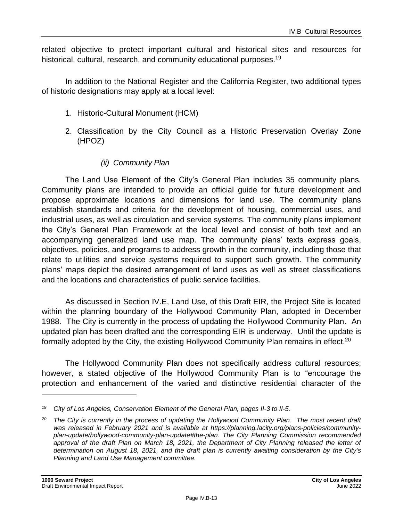related objective to protect important cultural and historical sites and resources for historical, cultural, research, and community educational purposes.<sup>19</sup>

In addition to the National Register and the California Register, two additional types of historic designations may apply at a local level:

- 1. Historic-Cultural Monument (HCM)
- 2. Classification by the City Council as a Historic Preservation Overlay Zone (HPOZ)

#### *(ii) Community Plan*

The Land Use Element of the City's General Plan includes 35 community plans. Community plans are intended to provide an official guide for future development and propose approximate locations and dimensions for land use. The community plans establish standards and criteria for the development of housing, commercial uses, and industrial uses, as well as circulation and service systems. The community plans implement the City's General Plan Framework at the local level and consist of both text and an accompanying generalized land use map. The community plans' texts express goals, objectives, policies, and programs to address growth in the community, including those that relate to utilities and service systems required to support such growth. The community plans' maps depict the desired arrangement of land uses as well as street classifications and the locations and characteristics of public service facilities.

As discussed in Section IV.E, Land Use, of this Draft EIR, the Project Site is located within the planning boundary of the Hollywood Community Plan, adopted in December 1988. The City is currently in the process of updating the Hollywood Community Plan. An updated plan has been drafted and the corresponding EIR is underway. Until the update is formally adopted by the City, the existing Hollywood Community Plan remains in effect.<sup>20</sup>

The Hollywood Community Plan does not specifically address cultural resources; however, a stated objective of the Hollywood Community Plan is to "encourage the protection and enhancement of the varied and distinctive residential character of the

*<sup>19</sup> City of Los Angeles, Conservation Element of the General Plan, pages II-3 to II-5.*

*<sup>20</sup> The City is currently in the process of updating the Hollywood Community Plan. The most recent draft was released in February 2021 and is available at https://planning.lacity.org/plans-policies/communityplan-update/hollywood-community-plan-update#the-plan. The City Planning Commission recommended approval of the draft Plan on March 18, 2021, the Department of City Planning released the letter of determination on August 18, 2021, and the draft plan is currently awaiting consideration by the City's Planning and Land Use Management committee.*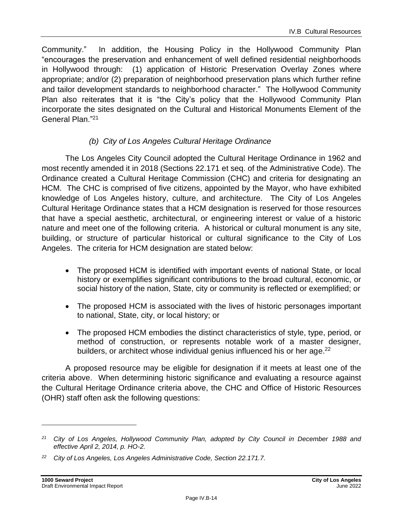Community." In addition, the Housing Policy in the Hollywood Community Plan "encourages the preservation and enhancement of well defined residential neighborhoods in Hollywood through: (1) application of Historic Preservation Overlay Zones where appropriate; and/or (2) preparation of neighborhood preservation plans which further refine and tailor development standards to neighborhood character." The Hollywood Community Plan also reiterates that it is "the City's policy that the Hollywood Community Plan incorporate the sites designated on the Cultural and Historical Monuments Element of the General Plan." 21

#### *(b) City of Los Angeles Cultural Heritage Ordinance*

The Los Angeles City Council adopted the Cultural Heritage Ordinance in 1962 and most recently amended it in 2018 (Sections 22.171 et seq. of the Administrative Code). The Ordinance created a Cultural Heritage Commission (CHC) and criteria for designating an HCM. The CHC is comprised of five citizens, appointed by the Mayor, who have exhibited knowledge of Los Angeles history, culture, and architecture. The City of Los Angeles Cultural Heritage Ordinance states that a HCM designation is reserved for those resources that have a special aesthetic, architectural, or engineering interest or value of a historic nature and meet one of the following criteria. A historical or cultural monument is any site, building, or structure of particular historical or cultural significance to the City of Los Angeles. The criteria for HCM designation are stated below:

- The proposed HCM is identified with important events of national State, or local history or exemplifies significant contributions to the broad cultural, economic, or social history of the nation, State, city or community is reflected or exemplified; or
- The proposed HCM is associated with the lives of historic personages important to national, State, city, or local history; or
- The proposed HCM embodies the distinct characteristics of style, type, period, or method of construction, or represents notable work of a master designer, builders, or architect whose individual genius influenced his or her age.<sup>22</sup>

A proposed resource may be eligible for designation if it meets at least one of the criteria above. When determining historic significance and evaluating a resource against the Cultural Heritage Ordinance criteria above, the CHC and Office of Historic Resources (OHR) staff often ask the following questions:

*<sup>21</sup> City of Los Angeles, Hollywood Community Plan, adopted by City Council in December 1988 and effective April 2, 2014, p. HO-2.*

*<sup>22</sup> City of Los Angeles, Los Angeles Administrative Code, Section 22.171.7.*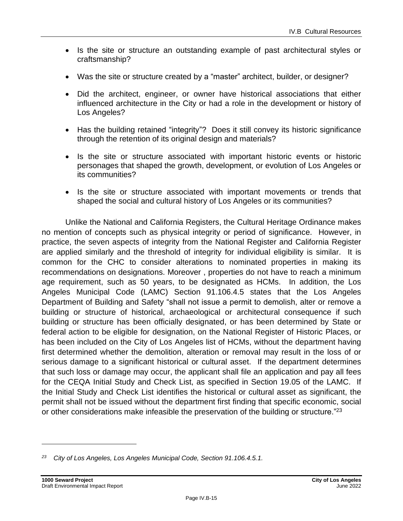- Is the site or structure an outstanding example of past architectural styles or craftsmanship?
- Was the site or structure created by a "master" architect, builder, or designer?
- Did the architect, engineer, or owner have historical associations that either influenced architecture in the City or had a role in the development or history of Los Angeles?
- Has the building retained "integrity"? Does it still convey its historic significance through the retention of its original design and materials?
- Is the site or structure associated with important historic events or historic personages that shaped the growth, development, or evolution of Los Angeles or its communities?
- Is the site or structure associated with important movements or trends that shaped the social and cultural history of Los Angeles or its communities?

Unlike the National and California Registers, the Cultural Heritage Ordinance makes no mention of concepts such as physical integrity or period of significance. However, in practice, the seven aspects of integrity from the National Register and California Register are applied similarly and the threshold of integrity for individual eligibility is similar. It is common for the CHC to consider alterations to nominated properties in making its recommendations on designations. Moreover , properties do not have to reach a minimum age requirement, such as 50 years, to be designated as HCMs. In addition, the Los Angeles Municipal Code (LAMC) Section 91.106.4.5 states that the Los Angeles Department of Building and Safety "shall not issue a permit to demolish, alter or remove a building or structure of historical, archaeological or architectural consequence if such building or structure has been officially designated, or has been determined by State or federal action to be eligible for designation, on the National Register of Historic Places, or has been included on the City of Los Angeles list of HCMs, without the department having first determined whether the demolition, alteration or removal may result in the loss of or serious damage to a significant historical or cultural asset. If the department determines that such loss or damage may occur, the applicant shall file an application and pay all fees for the CEQA Initial Study and Check List, as specified in Section 19.05 of the LAMC. If the Initial Study and Check List identifies the historical or cultural asset as significant, the permit shall not be issued without the department first finding that specific economic, social or other considerations make infeasible the preservation of the building or structure."<sup>23</sup>

*<sup>23</sup> City of Los Angeles, Los Angeles Municipal Code, Section 91.106.4.5.1.*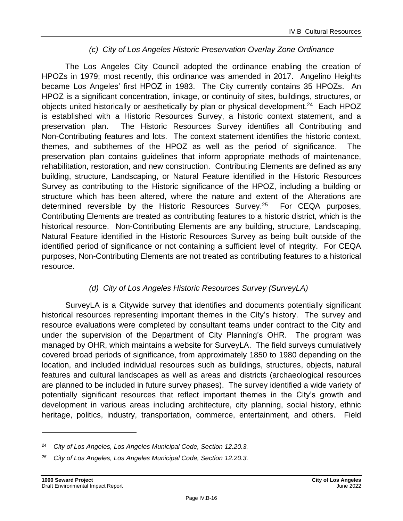#### *(c) City of Los Angeles Historic Preservation Overlay Zone Ordinance*

The Los Angeles City Council adopted the ordinance enabling the creation of HPOZs in 1979; most recently, this ordinance was amended in 2017. Angelino Heights became Los Angeles' first HPOZ in 1983. The City currently contains 35 HPOZs. An HPOZ is a significant concentration, linkage, or continuity of sites, buildings, structures, or objects united historically or aesthetically by plan or physical development.<sup>24</sup> Each HPOZ is established with a Historic Resources Survey, a historic context statement, and a preservation plan. The Historic Resources Survey identifies all Contributing and Non-Contributing features and lots. The context statement identifies the historic context, themes, and subthemes of the HPOZ as well as the period of significance. The preservation plan contains guidelines that inform appropriate methods of maintenance, rehabilitation, restoration, and new construction. Contributing Elements are defined as any building, structure, Landscaping, or Natural Feature identified in the Historic Resources Survey as contributing to the Historic significance of the HPOZ, including a building or structure which has been altered, where the nature and extent of the Alterations are determined reversible by the Historic Resources Survey.<sup>25</sup> For CEQA purposes, Contributing Elements are treated as contributing features to a historic district, which is the historical resource. Non-Contributing Elements are any building, structure, Landscaping, Natural Feature identified in the Historic Resources Survey as being built outside of the identified period of significance or not containing a sufficient level of integrity. For CEQA purposes, Non-Contributing Elements are not treated as contributing features to a historical resource.

#### *(d) City of Los Angeles Historic Resources Survey (SurveyLA)*

SurveyLA is a Citywide survey that identifies and documents potentially significant historical resources representing important themes in the City's history. The survey and resource evaluations were completed by consultant teams under contract to the City and under the supervision of the Department of City Planning's OHR. The program was managed by OHR, which maintains a website for SurveyLA. The field surveys cumulatively covered broad periods of significance, from approximately 1850 to 1980 depending on the location, and included individual resources such as buildings, structures, objects, natural features and cultural landscapes as well as areas and districts (archaeological resources are planned to be included in future survey phases). The survey identified a wide variety of potentially significant resources that reflect important themes in the City's growth and development in various areas including architecture, city planning, social history, ethnic heritage, politics, industry, transportation, commerce, entertainment, and others. Field

*<sup>24</sup> City of Los Angeles, Los Angeles Municipal Code, Section 12.20.3.*

*<sup>25</sup> City of Los Angeles, Los Angeles Municipal Code, Section 12.20.3.*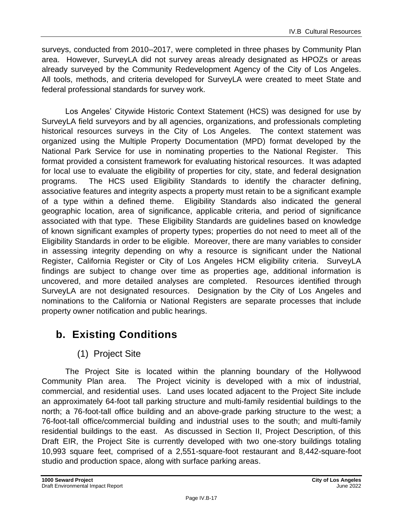surveys, conducted from 2010–2017, were completed in three phases by Community Plan area. However, SurveyLA did not survey areas already designated as HPOZs or areas already surveyed by the Community Redevelopment Agency of the City of Los Angeles. All tools, methods, and criteria developed for SurveyLA were created to meet State and federal professional standards for survey work.

Los Angeles' Citywide Historic Context Statement (HCS) was designed for use by SurveyLA field surveyors and by all agencies, organizations, and professionals completing historical resources surveys in the City of Los Angeles. The context statement was organized using the Multiple Property Documentation (MPD) format developed by the National Park Service for use in nominating properties to the National Register. This format provided a consistent framework for evaluating historical resources. It was adapted for local use to evaluate the eligibility of properties for city, state, and federal designation programs. The HCS used Eligibility Standards to identify the character defining, associative features and integrity aspects a property must retain to be a significant example of a type within a defined theme. Eligibility Standards also indicated the general geographic location, area of significance, applicable criteria, and period of significance associated with that type. These Eligibility Standards are guidelines based on knowledge of known significant examples of property types; properties do not need to meet all of the Eligibility Standards in order to be eligible. Moreover, there are many variables to consider in assessing integrity depending on why a resource is significant under the National Register, California Register or City of Los Angeles HCM eligibility criteria. SurveyLA findings are subject to change over time as properties age, additional information is uncovered, and more detailed analyses are completed. Resources identified through SurveyLA are not designated resources. Designation by the City of Los Angeles and nominations to the California or National Registers are separate processes that include property owner notification and public hearings.

## **b. Existing Conditions**

### (1) Project Site

The Project Site is located within the planning boundary of the Hollywood Community Plan area. The Project vicinity is developed with a mix of industrial, commercial, and residential uses. Land uses located adjacent to the Project Site include an approximately 64-foot tall parking structure and multi-family residential buildings to the north; a 76-foot-tall office building and an above-grade parking structure to the west; a 76-foot-tall office/commercial building and industrial uses to the south; and multi-family residential buildings to the east. As discussed in Section II, Project Description, of this Draft EIR, the Project Site is currently developed with two one-story buildings totaling 10,993 square feet, comprised of a 2,551-square-foot restaurant and 8,442-square-foot studio and production space, along with surface parking areas.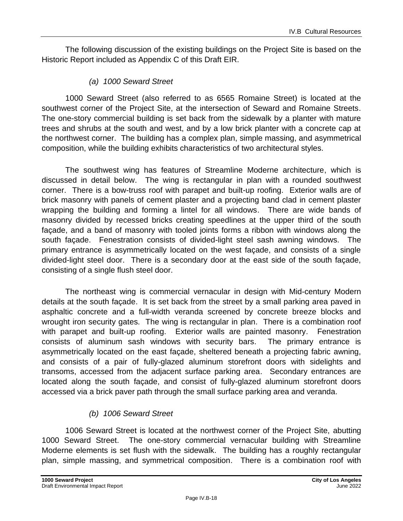The following discussion of the existing buildings on the Project Site is based on the Historic Report included as Appendix C of this Draft EIR.

#### *(a) 1000 Seward Street*

1000 Seward Street (also referred to as 6565 Romaine Street) is located at the southwest corner of the Project Site, at the intersection of Seward and Romaine Streets. The one-story commercial building is set back from the sidewalk by a planter with mature trees and shrubs at the south and west, and by a low brick planter with a concrete cap at the northwest corner. The building has a complex plan, simple massing, and asymmetrical composition, while the building exhibits characteristics of two architectural styles.

The southwest wing has features of Streamline Moderne architecture, which is discussed in detail below. The wing is rectangular in plan with a rounded southwest corner. There is a bow-truss roof with parapet and built-up roofing. Exterior walls are of brick masonry with panels of cement plaster and a projecting band clad in cement plaster wrapping the building and forming a lintel for all windows. There are wide bands of masonry divided by recessed bricks creating speedlines at the upper third of the south façade, and a band of masonry with tooled joints forms a ribbon with windows along the south façade. Fenestration consists of divided-light steel sash awning windows. The primary entrance is asymmetrically located on the west façade, and consists of a single divided-light steel door. There is a secondary door at the east side of the south façade, consisting of a single flush steel door.

The northeast wing is commercial vernacular in design with Mid-century Modern details at the south façade. It is set back from the street by a small parking area paved in asphaltic concrete and a full-width veranda screened by concrete breeze blocks and wrought iron security gates. The wing is rectangular in plan. There is a combination roof with parapet and built-up roofing. Exterior walls are painted masonry. Fenestration consists of aluminum sash windows with security bars. The primary entrance is asymmetrically located on the east façade, sheltered beneath a projecting fabric awning, and consists of a pair of fully-glazed aluminum storefront doors with sidelights and transoms, accessed from the adjacent surface parking area. Secondary entrances are located along the south façade, and consist of fully-glazed aluminum storefront doors accessed via a brick paver path through the small surface parking area and veranda.

#### *(b) 1006 Seward Street*

1006 Seward Street is located at the northwest corner of the Project Site, abutting 1000 Seward Street. The one-story commercial vernacular building with Streamline Moderne elements is set flush with the sidewalk. The building has a roughly rectangular plan, simple massing, and symmetrical composition. There is a combination roof with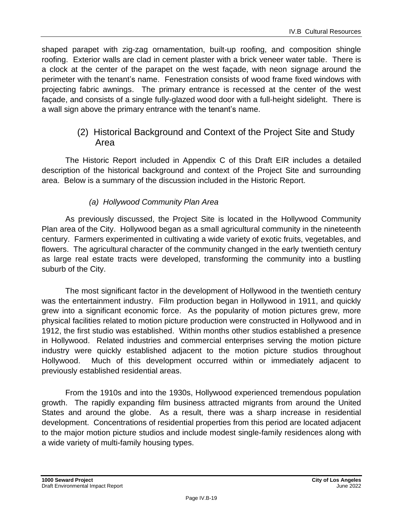shaped parapet with zig-zag ornamentation, built-up roofing, and composition shingle roofing. Exterior walls are clad in cement plaster with a brick veneer water table. There is a clock at the center of the parapet on the west façade, with neon signage around the perimeter with the tenant's name. Fenestration consists of wood frame fixed windows with projecting fabric awnings. The primary entrance is recessed at the center of the west façade, and consists of a single fully-glazed wood door with a full-height sidelight. There is a wall sign above the primary entrance with the tenant's name.

#### (2) Historical Background and Context of the Project Site and Study Area

The Historic Report included in Appendix C of this Draft EIR includes a detailed description of the historical background and context of the Project Site and surrounding area. Below is a summary of the discussion included in the Historic Report.

#### *(a) Hollywood Community Plan Area*

As previously discussed, the Project Site is located in the Hollywood Community Plan area of the City. Hollywood began as a small agricultural community in the nineteenth century. Farmers experimented in cultivating a wide variety of exotic fruits, vegetables, and flowers. The agricultural character of the community changed in the early twentieth century as large real estate tracts were developed, transforming the community into a bustling suburb of the City.

The most significant factor in the development of Hollywood in the twentieth century was the entertainment industry. Film production began in Hollywood in 1911, and quickly grew into a significant economic force. As the popularity of motion pictures grew, more physical facilities related to motion picture production were constructed in Hollywood and in 1912, the first studio was established. Within months other studios established a presence in Hollywood. Related industries and commercial enterprises serving the motion picture industry were quickly established adjacent to the motion picture studios throughout Hollywood. Much of this development occurred within or immediately adjacent to previously established residential areas.

From the 1910s and into the 1930s, Hollywood experienced tremendous population growth. The rapidly expanding film business attracted migrants from around the United States and around the globe. As a result, there was a sharp increase in residential development. Concentrations of residential properties from this period are located adjacent to the major motion picture studios and include modest single-family residences along with a wide variety of multi-family housing types.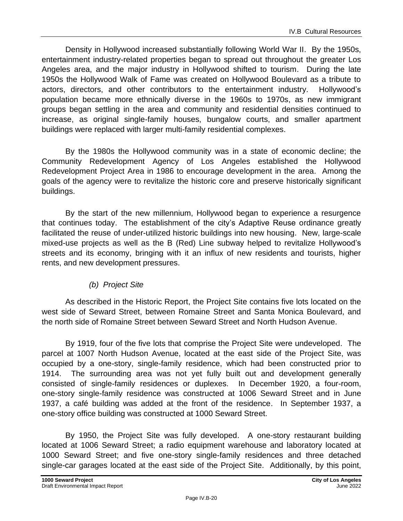Density in Hollywood increased substantially following World War II. By the 1950s, entertainment industry-related properties began to spread out throughout the greater Los Angeles area, and the major industry in Hollywood shifted to tourism. During the late 1950s the Hollywood Walk of Fame was created on Hollywood Boulevard as a tribute to actors, directors, and other contributors to the entertainment industry. Hollywood's population became more ethnically diverse in the 1960s to 1970s, as new immigrant groups began settling in the area and community and residential densities continued to increase, as original single-family houses, bungalow courts, and smaller apartment buildings were replaced with larger multi-family residential complexes.

By the 1980s the Hollywood community was in a state of economic decline; the Community Redevelopment Agency of Los Angeles established the Hollywood Redevelopment Project Area in 1986 to encourage development in the area. Among the goals of the agency were to revitalize the historic core and preserve historically significant buildings.

By the start of the new millennium, Hollywood began to experience a resurgence that continues today. The establishment of the city's Adaptive Reuse ordinance greatly facilitated the reuse of under-utilized historic buildings into new housing. New, large-scale mixed-use projects as well as the B (Red) Line subway helped to revitalize Hollywood's streets and its economy, bringing with it an influx of new residents and tourists, higher rents, and new development pressures.

#### *(b) Project Site*

As described in the Historic Report, the Project Site contains five lots located on the west side of Seward Street, between Romaine Street and Santa Monica Boulevard, and the north side of Romaine Street between Seward Street and North Hudson Avenue.

By 1919, four of the five lots that comprise the Project Site were undeveloped. The parcel at 1007 North Hudson Avenue, located at the east side of the Project Site, was occupied by a one-story, single-family residence, which had been constructed prior to 1914. The surrounding area was not yet fully built out and development generally consisted of single-family residences or duplexes. In December 1920, a four-room, one-story single-family residence was constructed at 1006 Seward Street and in June 1937, a café building was added at the front of the residence. In September 1937, a one-story office building was constructed at 1000 Seward Street.

By 1950, the Project Site was fully developed. A one-story restaurant building located at 1006 Seward Street; a radio equipment warehouse and laboratory located at 1000 Seward Street; and five one-story single-family residences and three detached single-car garages located at the east side of the Project Site. Additionally, by this point,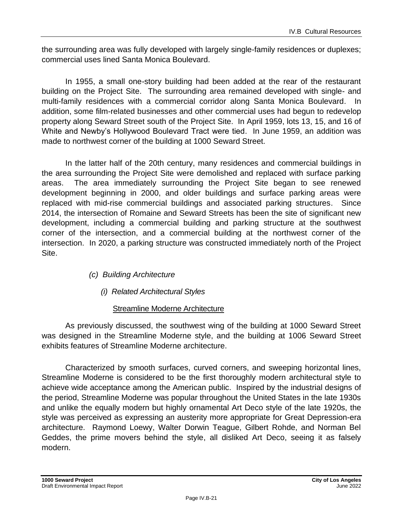the surrounding area was fully developed with largely single-family residences or duplexes; commercial uses lined Santa Monica Boulevard.

In 1955, a small one-story building had been added at the rear of the restaurant building on the Project Site. The surrounding area remained developed with single- and multi-family residences with a commercial corridor along Santa Monica Boulevard. In addition, some film-related businesses and other commercial uses had begun to redevelop property along Seward Street south of the Project Site. In April 1959, lots 13, 15, and 16 of White and Newby's Hollywood Boulevard Tract were tied. In June 1959, an addition was made to northwest corner of the building at 1000 Seward Street.

In the latter half of the 20th century, many residences and commercial buildings in the area surrounding the Project Site were demolished and replaced with surface parking areas. The area immediately surrounding the Project Site began to see renewed development beginning in 2000, and older buildings and surface parking areas were replaced with mid-rise commercial buildings and associated parking structures. Since 2014, the intersection of Romaine and Seward Streets has been the site of significant new development, including a commercial building and parking structure at the southwest corner of the intersection, and a commercial building at the northwest corner of the intersection. In 2020, a parking structure was constructed immediately north of the Project Site.

- *(c) Building Architecture*
	- *(i) Related Architectural Styles*

#### Streamline Moderne Architecture

As previously discussed, the southwest wing of the building at 1000 Seward Street was designed in the Streamline Moderne style, and the building at 1006 Seward Street exhibits features of Streamline Moderne architecture.

Characterized by smooth surfaces, curved corners, and sweeping horizontal lines, Streamline Moderne is considered to be the first thoroughly modern architectural style to achieve wide acceptance among the American public. Inspired by the industrial designs of the period, Streamline Moderne was popular throughout the United States in the late 1930s and unlike the equally modern but highly ornamental Art Deco style of the late 1920s, the style was perceived as expressing an austerity more appropriate for Great Depression-era architecture. Raymond Loewy, Walter Dorwin Teague, Gilbert Rohde, and Norman Bel Geddes, the prime movers behind the style, all disliked Art Deco, seeing it as falsely modern.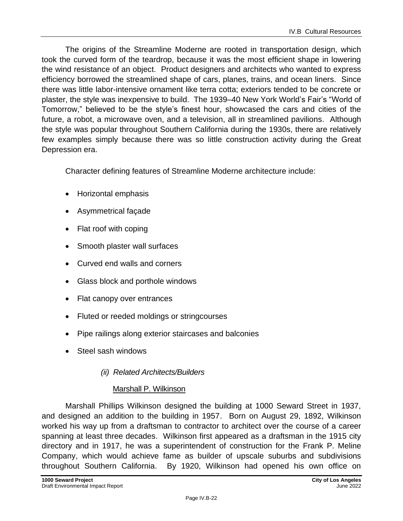The origins of the Streamline Moderne are rooted in transportation design, which took the curved form of the teardrop, because it was the most efficient shape in lowering the wind resistance of an object. Product designers and architects who wanted to express efficiency borrowed the streamlined shape of cars, planes, trains, and ocean liners. Since there was little labor-intensive ornament like terra cotta; exteriors tended to be concrete or plaster, the style was inexpensive to build. The 1939–40 New York World's Fair's "World of Tomorrow," believed to be the style's finest hour, showcased the cars and cities of the future, a robot, a microwave oven, and a television, all in streamlined pavilions. Although the style was popular throughout Southern California during the 1930s, there are relatively few examples simply because there was so little construction activity during the Great Depression era.

Character defining features of Streamline Moderne architecture include:

- Horizontal emphasis
- Asymmetrical façade
- Flat roof with coping
- Smooth plaster wall surfaces
- Curved end walls and corners
- Glass block and porthole windows
- Flat canopy over entrances
- Fluted or reeded moldings or stringcourses
- Pipe railings along exterior staircases and balconies
- Steel sash windows
	- *(ii) Related Architects/Builders*

#### Marshall P. Wilkinson

Marshall Phillips Wilkinson designed the building at 1000 Seward Street in 1937, and designed an addition to the building in 1957. Born on August 29, 1892, Wilkinson worked his way up from a draftsman to contractor to architect over the course of a career spanning at least three decades. Wilkinson first appeared as a draftsman in the 1915 city directory and in 1917, he was a superintendent of construction for the Frank P. Meline Company, which would achieve fame as builder of upscale suburbs and subdivisions throughout Southern California. By 1920, Wilkinson had opened his own office on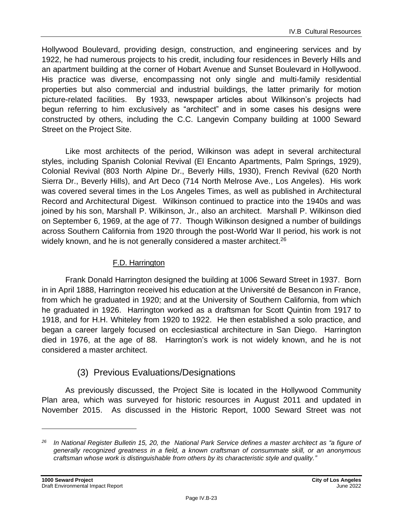Hollywood Boulevard, providing design, construction, and engineering services and by 1922, he had numerous projects to his credit, including four residences in Beverly Hills and an apartment building at the corner of Hobart Avenue and Sunset Boulevard in Hollywood. His practice was diverse, encompassing not only single and multi-family residential properties but also commercial and industrial buildings, the latter primarily for motion picture-related facilities. By 1933, newspaper articles about Wilkinson's projects had begun referring to him exclusively as "architect" and in some cases his designs were constructed by others, including the C.C. Langevin Company building at 1000 Seward Street on the Project Site.

Like most architects of the period, Wilkinson was adept in several architectural styles, including Spanish Colonial Revival (El Encanto Apartments, Palm Springs, 1929), Colonial Revival (803 North Alpine Dr., Beverly Hills, 1930), French Revival (620 North Sierra Dr., Beverly Hills), and Art Deco (714 North Melrose Ave., Los Angeles). His work was covered several times in the Los Angeles Times, as well as published in Architectural Record and Architectural Digest. Wilkinson continued to practice into the 1940s and was joined by his son, Marshall P. Wilkinson, Jr., also an architect. Marshall P. Wilkinson died on September 6, 1969, at the age of 77. Though Wilkinson designed a number of buildings across Southern California from 1920 through the post-World War II period, his work is not widely known, and he is not generally considered a master architect.<sup>26</sup>

#### F.D. Harrington

Frank Donald Harrington designed the building at 1006 Seward Street in 1937. Born in in April 1888, Harrington received his education at the Université de Besancon in France, from which he graduated in 1920; and at the University of Southern California, from which he graduated in 1926. Harrington worked as a draftsman for Scott Quintin from 1917 to 1918, and for H.H. Whiteley from 1920 to 1922. He then established a solo practice, and began a career largely focused on ecclesiastical architecture in San Diego. Harrington died in 1976, at the age of 88. Harrington's work is not widely known, and he is not considered a master architect.

#### (3) Previous Evaluations/Designations

As previously discussed, the Project Site is located in the Hollywood Community Plan area, which was surveyed for historic resources in August 2011 and updated in November 2015. As discussed in the Historic Report, 1000 Seward Street was not

*<sup>26</sup> In National Register Bulletin 15, 20, the National Park Service defines a master architect as "a figure of generally recognized greatness in a field, a known craftsman of consummate skill, or an anonymous craftsman whose work is distinguishable from others by its characteristic style and quality."*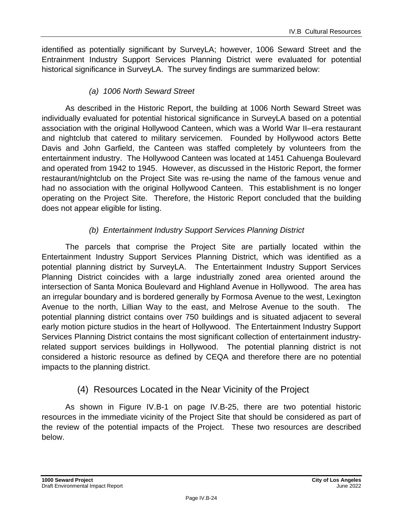identified as potentially significant by SurveyLA; however, 1006 Seward Street and the Entrainment Industry Support Services Planning District were evaluated for potential historical significance in SurveyLA. The survey findings are summarized below:

#### *(a) 1006 North Seward Street*

As described in the Historic Report, the building at 1006 North Seward Street was individually evaluated for potential historical significance in SurveyLA based on a potential association with the original Hollywood Canteen, which was a World War II–era restaurant and nightclub that catered to military servicemen. Founded by Hollywood actors Bette Davis and John Garfield, the Canteen was staffed completely by volunteers from the entertainment industry. The Hollywood Canteen was located at 1451 Cahuenga Boulevard and operated from 1942 to 1945. However, as discussed in the Historic Report, the former restaurant/nightclub on the Project Site was re-using the name of the famous venue and had no association with the original Hollywood Canteen. This establishment is no longer operating on the Project Site. Therefore, the Historic Report concluded that the building does not appear eligible for listing.

#### *(b) Entertainment Industry Support Services Planning District*

The parcels that comprise the Project Site are partially located within the Entertainment Industry Support Services Planning District, which was identified as a potential planning district by SurveyLA. The Entertainment Industry Support Services Planning District coincides with a large industrially zoned area oriented around the intersection of Santa Monica Boulevard and Highland Avenue in Hollywood. The area has an irregular boundary and is bordered generally by Formosa Avenue to the west, Lexington Avenue to the north, Lillian Way to the east, and Melrose Avenue to the south. The potential planning district contains over 750 buildings and is situated adjacent to several early motion picture studios in the heart of Hollywood. The Entertainment Industry Support Services Planning District contains the most significant collection of entertainment industryrelated support services buildings in Hollywood. The potential planning district is not considered a historic resource as defined by CEQA and therefore there are no potential impacts to the planning district.

#### (4) Resources Located in the Near Vicinity of the Project

As shown in Figure IV.B-1 on page IV.B-25, there are two potential historic resources in the immediate vicinity of the Project Site that should be considered as part of the review of the potential impacts of the Project. These two resources are described below.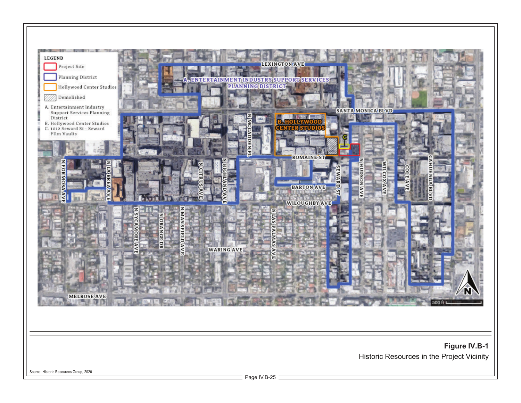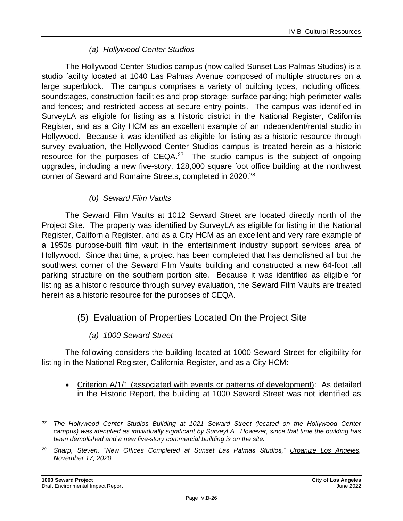#### *(a) Hollywood Center Studios*

The Hollywood Center Studios campus (now called Sunset Las Palmas Studios) is a studio facility located at 1040 Las Palmas Avenue composed of multiple structures on a large superblock. The campus comprises a variety of building types, including offices, soundstages, construction facilities and prop storage; surface parking; high perimeter walls and fences; and restricted access at secure entry points. The campus was identified in SurveyLA as eligible for listing as a historic district in the National Register, California Register, and as a City HCM as an excellent example of an independent/rental studio in Hollywood. Because it was identified as eligible for listing as a historic resource through survey evaluation, the Hollywood Center Studios campus is treated herein as a historic resource for the purposes of  $CEQA<sup>27</sup>$  The studio campus is the subject of ongoing upgrades, including a new five-story, 128,000 square foot office building at the northwest corner of Seward and Romaine Streets, completed in 2020.<sup>28</sup>

#### *(b) Seward Film Vaults*

The Seward Film Vaults at 1012 Seward Street are located directly north of the Project Site. The property was identified by SurveyLA as eligible for listing in the National Register, California Register, and as a City HCM as an excellent and very rare example of a 1950s purpose-built film vault in the entertainment industry support services area of Hollywood. Since that time, a project has been completed that has demolished all but the southwest corner of the Seward Film Vaults building and constructed a new 64-foot tall parking structure on the southern portion site. Because it was identified as eligible for listing as a historic resource through survey evaluation, the Seward Film Vaults are treated herein as a historic resource for the purposes of CEQA.

#### (5) Evaluation of Properties Located On the Project Site

#### *(a) 1000 Seward Street*

The following considers the building located at 1000 Seward Street for eligibility for listing in the National Register, California Register, and as a City HCM:

• Criterion A/1/1 (associated with events or patterns of development): As detailed in the Historic Report, the building at 1000 Seward Street was not identified as

*<sup>27</sup> The Hollywood Center Studios Building at 1021 Seward Street (located on the Hollywood Center campus) was identified as individually significant by SurveyLA. However, since that time the building has been demolished and a new five-story commercial building is on the site.*

*<sup>28</sup> Sharp, Steven, "New Offices Completed at Sunset Las Palmas Studios," Urbanize Los Angeles, November 17, 2020.*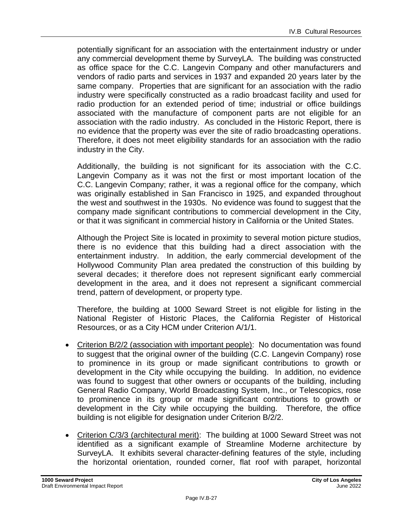potentially significant for an association with the entertainment industry or under any commercial development theme by SurveyLA. The building was constructed as office space for the C.C. Langevin Company and other manufacturers and vendors of radio parts and services in 1937 and expanded 20 years later by the same company. Properties that are significant for an association with the radio industry were specifically constructed as a radio broadcast facility and used for radio production for an extended period of time; industrial or office buildings associated with the manufacture of component parts are not eligible for an association with the radio industry. As concluded in the Historic Report, there is no evidence that the property was ever the site of radio broadcasting operations. Therefore, it does not meet eligibility standards for an association with the radio industry in the City.

Additionally, the building is not significant for its association with the C.C. Langevin Company as it was not the first or most important location of the C.C. Langevin Company; rather, it was a regional office for the company, which was originally established in San Francisco in 1925, and expanded throughout the west and southwest in the 1930s. No evidence was found to suggest that the company made significant contributions to commercial development in the City, or that it was significant in commercial history in California or the United States.

Although the Project Site is located in proximity to several motion picture studios, there is no evidence that this building had a direct association with the entertainment industry. In addition, the early commercial development of the Hollywood Community Plan area predated the construction of this building by several decades; it therefore does not represent significant early commercial development in the area, and it does not represent a significant commercial trend, pattern of development, or property type.

Therefore, the building at 1000 Seward Street is not eligible for listing in the National Register of Historic Places, the California Register of Historical Resources, or as a City HCM under Criterion A/1/1.

- Criterion B/2/2 (association with important people): No documentation was found to suggest that the original owner of the building (C.C. Langevin Company) rose to prominence in its group or made significant contributions to growth or development in the City while occupying the building. In addition, no evidence was found to suggest that other owners or occupants of the building, including General Radio Company, World Broadcasting System, Inc., or Telescopics, rose to prominence in its group or made significant contributions to growth or development in the City while occupying the building. Therefore, the office building is not eligible for designation under Criterion B/2/2.
- Criterion C/3/3 (architectural merit): The building at 1000 Seward Street was not identified as a significant example of Streamline Moderne architecture by SurveyLA. It exhibits several character-defining features of the style, including the horizontal orientation, rounded corner, flat roof with parapet, horizontal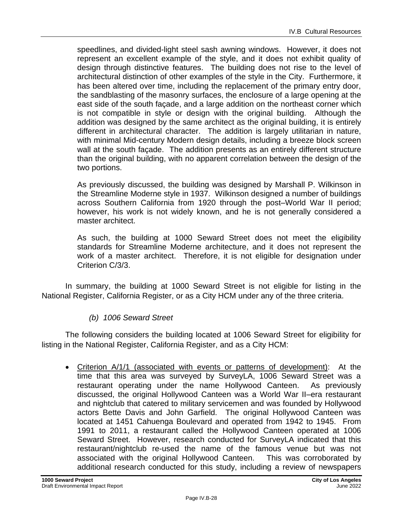speedlines, and divided-light steel sash awning windows. However, it does not represent an excellent example of the style, and it does not exhibit quality of design through distinctive features. The building does not rise to the level of architectural distinction of other examples of the style in the City. Furthermore, it has been altered over time, including the replacement of the primary entry door, the sandblasting of the masonry surfaces, the enclosure of a large opening at the east side of the south façade, and a large addition on the northeast corner which is not compatible in style or design with the original building. Although the addition was designed by the same architect as the original building, it is entirely different in architectural character. The addition is largely utilitarian in nature, with minimal Mid-century Modern design details, including a breeze block screen wall at the south façade. The addition presents as an entirely different structure than the original building, with no apparent correlation between the design of the two portions.

As previously discussed, the building was designed by Marshall P. Wilkinson in the Streamline Moderne style in 1937. Wilkinson designed a number of buildings across Southern California from 1920 through the post–World War II period; however, his work is not widely known, and he is not generally considered a master architect.

As such, the building at 1000 Seward Street does not meet the eligibility standards for Streamline Moderne architecture, and it does not represent the work of a master architect. Therefore, it is not eligible for designation under Criterion C/3/3.

In summary, the building at 1000 Seward Street is not eligible for listing in the National Register, California Register, or as a City HCM under any of the three criteria.

#### *(b) 1006 Seward Street*

The following considers the building located at 1006 Seward Street for eligibility for listing in the National Register, California Register, and as a City HCM:

• Criterion A/1/1 (associated with events or patterns of development): At the time that this area was surveyed by SurveyLA, 1006 Seward Street was a restaurant operating under the name Hollywood Canteen. As previously discussed, the original Hollywood Canteen was a World War II–era restaurant and nightclub that catered to military servicemen and was founded by Hollywood actors Bette Davis and John Garfield. The original Hollywood Canteen was located at 1451 Cahuenga Boulevard and operated from 1942 to 1945. From 1991 to 2011, a restaurant called the Hollywood Canteen operated at 1006 Seward Street. However, research conducted for SurveyLA indicated that this restaurant/nightclub re-used the name of the famous venue but was not associated with the original Hollywood Canteen. This was corroborated by additional research conducted for this study, including a review of newspapers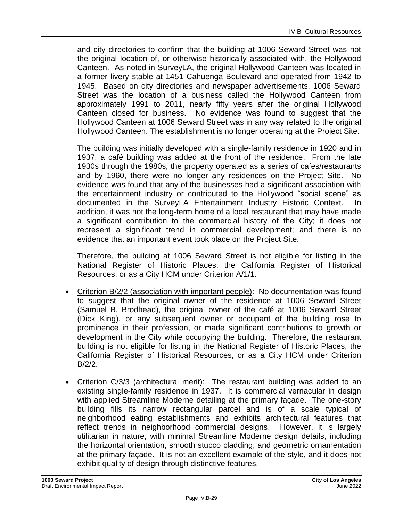and city directories to confirm that the building at 1006 Seward Street was not the original location of, or otherwise historically associated with, the Hollywood Canteen. As noted in SurveyLA, the original Hollywood Canteen was located in a former livery stable at 1451 Cahuenga Boulevard and operated from 1942 to 1945. Based on city directories and newspaper advertisements, 1006 Seward Street was the location of a business called the Hollywood Canteen from approximately 1991 to 2011, nearly fifty years after the original Hollywood Canteen closed for business. No evidence was found to suggest that the Hollywood Canteen at 1006 Seward Street was in any way related to the original Hollywood Canteen. The establishment is no longer operating at the Project Site.

The building was initially developed with a single-family residence in 1920 and in 1937, a café building was added at the front of the residence. From the late 1930s through the 1980s, the property operated as a series of cafes/restaurants and by 1960, there were no longer any residences on the Project Site. No evidence was found that any of the businesses had a significant association with the entertainment industry or contributed to the Hollywood "social scene" as documented in the SurveyLA Entertainment Industry Historic Context. In addition, it was not the long-term home of a local restaurant that may have made a significant contribution to the commercial history of the City; it does not represent a significant trend in commercial development; and there is no evidence that an important event took place on the Project Site.

Therefore, the building at 1006 Seward Street is not eligible for listing in the National Register of Historic Places, the California Register of Historical Resources, or as a City HCM under Criterion A/1/1.

- Criterion B/2/2 (association with important people): No documentation was found to suggest that the original owner of the residence at 1006 Seward Street (Samuel B. Brodhead), the original owner of the café at 1006 Seward Street (Dick King), or any subsequent owner or occupant of the building rose to prominence in their profession, or made significant contributions to growth or development in the City while occupying the building. Therefore, the restaurant building is not eligible for listing in the National Register of Historic Places, the California Register of Historical Resources, or as a City HCM under Criterion B/2/2.
- Criterion C/3/3 (architectural merit): The restaurant building was added to an existing single-family residence in 1937. It is commercial vernacular in design with applied Streamline Moderne detailing at the primary façade. The one-story building fills its narrow rectangular parcel and is of a scale typical of neighborhood eating establishments and exhibits architectural features that reflect trends in neighborhood commercial designs. However, it is largely utilitarian in nature, with minimal Streamline Moderne design details, including the horizontal orientation, smooth stucco cladding, and geometric ornamentation at the primary façade. It is not an excellent example of the style, and it does not exhibit quality of design through distinctive features.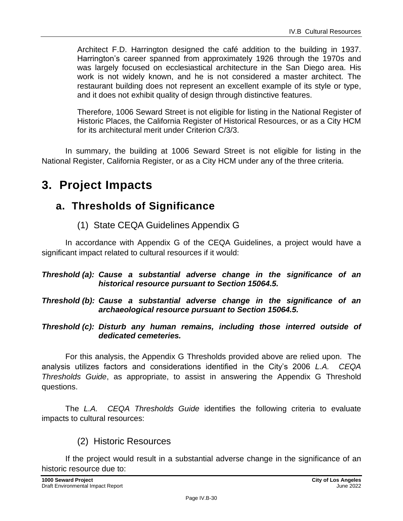Architect F.D. Harrington designed the café addition to the building in 1937. Harrington's career spanned from approximately 1926 through the 1970s and was largely focused on ecclesiastical architecture in the San Diego area. His work is not widely known, and he is not considered a master architect. The restaurant building does not represent an excellent example of its style or type, and it does not exhibit quality of design through distinctive features.

Therefore, 1006 Seward Street is not eligible for listing in the National Register of Historic Places, the California Register of Historical Resources, or as a City HCM for its architectural merit under Criterion C/3/3.

In summary, the building at 1006 Seward Street is not eligible for listing in the National Register, California Register, or as a City HCM under any of the three criteria.

## **3. Project Impacts**

## **a. Thresholds of Significance**

(1) State CEQA Guidelines Appendix G

In accordance with Appendix G of the CEQA Guidelines, a project would have a significant impact related to cultural resources if it would:

#### *Threshold (a): Cause a substantial adverse change in the significance of an historical resource pursuant to Section 15064.5.*

*Threshold (b): Cause a substantial adverse change in the significance of an archaeological resource pursuant to Section 15064.5.*

*Threshold (c): Disturb any human remains, including those interred outside of dedicated cemeteries.*

For this analysis, the Appendix G Thresholds provided above are relied upon. The analysis utilizes factors and considerations identified in the City's 2006 *L.A. CEQA Thresholds Guide*, as appropriate, to assist in answering the Appendix G Threshold questions.

The *L.A. CEQA Thresholds Guide* identifies the following criteria to evaluate impacts to cultural resources:

(2) Historic Resources

If the project would result in a substantial adverse change in the significance of an historic resource due to: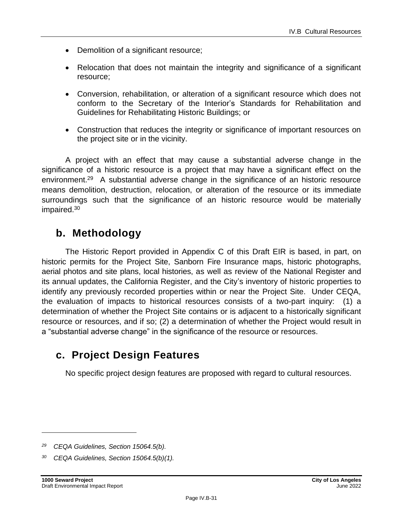- Demolition of a significant resource;
- Relocation that does not maintain the integrity and significance of a significant resource;
- Conversion, rehabilitation, or alteration of a significant resource which does not conform to the Secretary of the Interior's Standards for Rehabilitation and Guidelines for Rehabilitating Historic Buildings; or
- Construction that reduces the integrity or significance of important resources on the project site or in the vicinity.

A project with an effect that may cause a substantial adverse change in the significance of a historic resource is a project that may have a significant effect on the environment.<sup>29</sup> A substantial adverse change in the significance of an historic resource means demolition, destruction, relocation, or alteration of the resource or its immediate surroundings such that the significance of an historic resource would be materially impaired.<sup>30</sup>

## **b. Methodology**

The Historic Report provided in Appendix C of this Draft EIR is based, in part, on historic permits for the Project Site, Sanborn Fire Insurance maps, historic photographs, aerial photos and site plans, local histories, as well as review of the National Register and its annual updates, the California Register, and the City's inventory of historic properties to identify any previously recorded properties within or near the Project Site. Under CEQA, the evaluation of impacts to historical resources consists of a two-part inquiry: (1) a determination of whether the Project Site contains or is adjacent to a historically significant resource or resources, and if so; (2) a determination of whether the Project would result in a "substantial adverse change" in the significance of the resource or resources.

## **c. Project Design Features**

No specific project design features are proposed with regard to cultural resources.

*<sup>29</sup> CEQA Guidelines, Section 15064.5(b).*

*<sup>30</sup> CEQA Guidelines, Section 15064.5(b)(1).*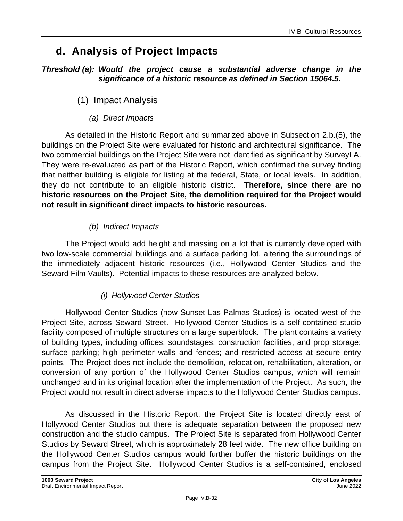## **d. Analysis of Project Impacts**

#### *Threshold (a): Would the project cause a substantial adverse change in the significance of a historic resource as defined in Section 15064.5.*

### (1) Impact Analysis

*(a) Direct Impacts*

As detailed in the Historic Report and summarized above in Subsection 2.b.(5), the buildings on the Project Site were evaluated for historic and architectural significance. The two commercial buildings on the Project Site were not identified as significant by SurveyLA. They were re-evaluated as part of the Historic Report, which confirmed the survey finding that neither building is eligible for listing at the federal, State, or local levels. In addition, they do not contribute to an eligible historic district. **Therefore, since there are no historic resources on the Project Site, the demolition required for the Project would not result in significant direct impacts to historic resources.**

#### *(b) Indirect Impacts*

The Project would add height and massing on a lot that is currently developed with two low-scale commercial buildings and a surface parking lot, altering the surroundings of the immediately adjacent historic resources (i.e., Hollywood Center Studios and the Seward Film Vaults). Potential impacts to these resources are analyzed below.

#### *(i) Hollywood Center Studios*

Hollywood Center Studios (now Sunset Las Palmas Studios) is located west of the Project Site, across Seward Street. Hollywood Center Studios is a self-contained studio facility composed of multiple structures on a large superblock. The plant contains a variety of building types, including offices, soundstages, construction facilities, and prop storage; surface parking; high perimeter walls and fences; and restricted access at secure entry points. The Project does not include the demolition, relocation, rehabilitation, alteration, or conversion of any portion of the Hollywood Center Studios campus, which will remain unchanged and in its original location after the implementation of the Project. As such, the Project would not result in direct adverse impacts to the Hollywood Center Studios campus.

As discussed in the Historic Report, the Project Site is located directly east of Hollywood Center Studios but there is adequate separation between the proposed new construction and the studio campus. The Project Site is separated from Hollywood Center Studios by Seward Street, which is approximately 28 feet wide. The new office building on the Hollywood Center Studios campus would further buffer the historic buildings on the campus from the Project Site. Hollywood Center Studios is a self-contained, enclosed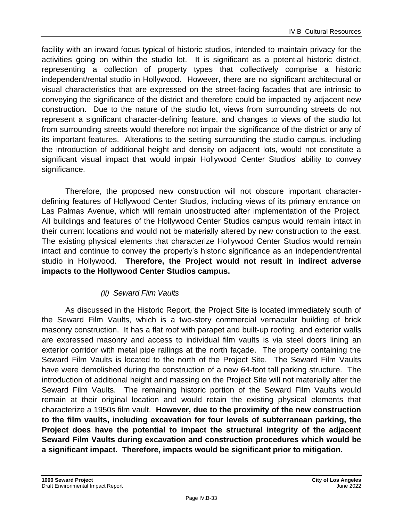facility with an inward focus typical of historic studios, intended to maintain privacy for the activities going on within the studio lot. It is significant as a potential historic district, representing a collection of property types that collectively comprise a historic independent/rental studio in Hollywood. However, there are no significant architectural or visual characteristics that are expressed on the street-facing facades that are intrinsic to conveying the significance of the district and therefore could be impacted by adjacent new construction. Due to the nature of the studio lot, views from surrounding streets do not represent a significant character-defining feature, and changes to views of the studio lot from surrounding streets would therefore not impair the significance of the district or any of its important features. Alterations to the setting surrounding the studio campus, including the introduction of additional height and density on adjacent lots, would not constitute a significant visual impact that would impair Hollywood Center Studios' ability to convey significance.

Therefore, the proposed new construction will not obscure important characterdefining features of Hollywood Center Studios, including views of its primary entrance on Las Palmas Avenue, which will remain unobstructed after implementation of the Project. All buildings and features of the Hollywood Center Studios campus would remain intact in their current locations and would not be materially altered by new construction to the east. The existing physical elements that characterize Hollywood Center Studios would remain intact and continue to convey the property's historic significance as an independent/rental studio in Hollywood. **Therefore, the Project would not result in indirect adverse impacts to the Hollywood Center Studios campus.**

#### *(ii) Seward Film Vaults*

As discussed in the Historic Report, the Project Site is located immediately south of the Seward Film Vaults, which is a two-story commercial vernacular building of brick masonry construction. It has a flat roof with parapet and built-up roofing, and exterior walls are expressed masonry and access to individual film vaults is via steel doors lining an exterior corridor with metal pipe railings at the north façade. The property containing the Seward Film Vaults is located to the north of the Project Site. The Seward Film Vaults have were demolished during the construction of a new 64-foot tall parking structure. The introduction of additional height and massing on the Project Site will not materially alter the Seward Film Vaults. The remaining historic portion of the Seward Film Vaults would remain at their original location and would retain the existing physical elements that characterize a 1950s film vault. **However, due to the proximity of the new construction to the film vaults, including excavation for four levels of subterranean parking, the Project does have the potential to impact the structural integrity of the adjacent Seward Film Vaults during excavation and construction procedures which would be a significant impact. Therefore, impacts would be significant prior to mitigation.**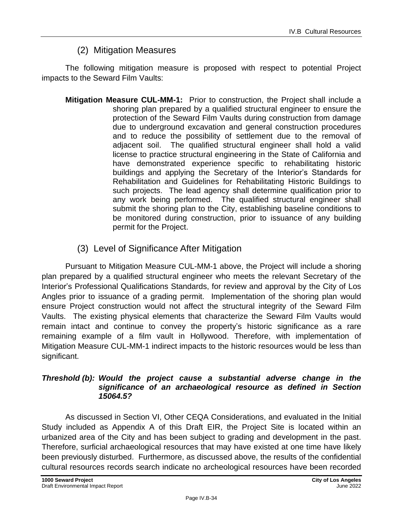### (2) Mitigation Measures

The following mitigation measure is proposed with respect to potential Project impacts to the Seward Film Vaults:

- **Mitigation Measure CUL-MM-1:** Prior to construction, the Project shall include a shoring plan prepared by a qualified structural engineer to ensure the protection of the Seward Film Vaults during construction from damage due to underground excavation and general construction procedures and to reduce the possibility of settlement due to the removal of adjacent soil. The qualified structural engineer shall hold a valid license to practice structural engineering in the State of California and have demonstrated experience specific to rehabilitating historic buildings and applying the Secretary of the Interior's Standards for Rehabilitation and Guidelines for Rehabilitating Historic Buildings to such projects. The lead agency shall determine qualification prior to any work being performed. The qualified structural engineer shall submit the shoring plan to the City, establishing baseline conditions to be monitored during construction, prior to issuance of any building permit for the Project.
	- (3) Level of Significance After Mitigation

Pursuant to Mitigation Measure CUL-MM-1 above, the Project will include a shoring plan prepared by a qualified structural engineer who meets the relevant Secretary of the Interior's Professional Qualifications Standards, for review and approval by the City of Los Angles prior to issuance of a grading permit. Implementation of the shoring plan would ensure Project construction would not affect the structural integrity of the Seward Film Vaults. The existing physical elements that characterize the Seward Film Vaults would remain intact and continue to convey the property's historic significance as a rare remaining example of a film vault in Hollywood. Therefore, with implementation of Mitigation Measure CUL-MM-1 indirect impacts to the historic resources would be less than significant.

#### *Threshold (b): Would the project cause a substantial adverse change in the significance of an archaeological resource as defined in Section 15064.5?*

As discussed in Section VI, Other CEQA Considerations, and evaluated in the Initial Study included as Appendix A of this Draft EIR, the Project Site is located within an urbanized area of the City and has been subject to grading and development in the past. Therefore, surficial archaeological resources that may have existed at one time have likely been previously disturbed. Furthermore, as discussed above, the results of the confidential cultural resources records search indicate no archeological resources have been recorded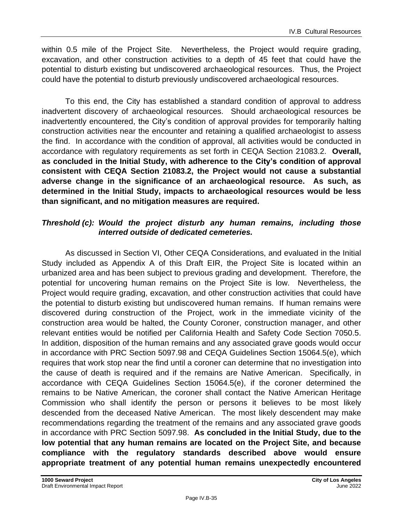within 0.5 mile of the Project Site. Nevertheless, the Project would require grading, excavation, and other construction activities to a depth of 45 feet that could have the potential to disturb existing but undiscovered archaeological resources. Thus, the Project could have the potential to disturb previously undiscovered archaeological resources.

To this end, the City has established a standard condition of approval to address inadvertent discovery of archaeological resources. Should archaeological resources be inadvertently encountered, the City's condition of approval provides for temporarily halting construction activities near the encounter and retaining a qualified archaeologist to assess the find. In accordance with the condition of approval, all activities would be conducted in accordance with regulatory requirements as set forth in CEQA Section 21083.2. **Overall, as concluded in the Initial Study, with adherence to the City's condition of approval consistent with CEQA Section 21083.2, the Project would not cause a substantial adverse change in the significance of an archaeological resource. As such, as determined in the Initial Study, impacts to archaeological resources would be less than significant, and no mitigation measures are required.**

#### *Threshold (c): Would the project disturb any human remains, including those interred outside of dedicated cemeteries.*

As discussed in Section VI, Other CEQA Considerations, and evaluated in the Initial Study included as Appendix A of this Draft EIR, the Project Site is located within an urbanized area and has been subject to previous grading and development. Therefore, the potential for uncovering human remains on the Project Site is low. Nevertheless, the Project would require grading, excavation, and other construction activities that could have the potential to disturb existing but undiscovered human remains. If human remains were discovered during construction of the Project, work in the immediate vicinity of the construction area would be halted, the County Coroner, construction manager, and other relevant entities would be notified per California Health and Safety Code Section 7050.5. In addition, disposition of the human remains and any associated grave goods would occur in accordance with PRC Section 5097.98 and CEQA Guidelines Section 15064.5(e), which requires that work stop near the find until a coroner can determine that no investigation into the cause of death is required and if the remains are Native American. Specifically, in accordance with CEQA Guidelines Section 15064.5(e), if the coroner determined the remains to be Native American, the coroner shall contact the Native American Heritage Commission who shall identify the person or persons it believes to be most likely descended from the deceased Native American. The most likely descendent may make recommendations regarding the treatment of the remains and any associated grave goods in accordance with PRC Section 5097.98. **As concluded in the Initial Study, due to the low potential that any human remains are located on the Project Site, and because compliance with the regulatory standards described above would ensure appropriate treatment of any potential human remains unexpectedly encountered**